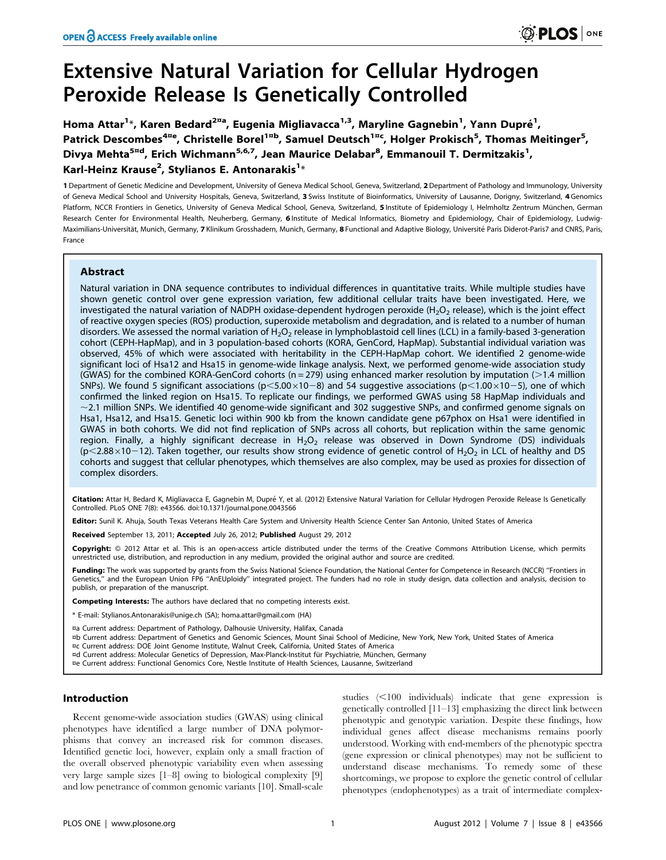# Extensive Natural Variation for Cellular Hydrogen Peroxide Release Is Genetically Controlled

Homa Attar<sup>1</sup>\*, Karen Bedard<sup>2¤a</sup>, Eugenia Migliavacca<sup>1,3</sup>, Maryline Gagnebin<sup>1</sup>, Yann Dupré<sup>1</sup>, Patrick Descombes<sup>4¤e</sup>, Christelle Borel<sup>1¤b</sup>, Samuel Deutsch<sup>1¤c</sup>, Holger Prokisch<sup>5</sup>, Thomas Meitinger<sup>5</sup>, Divya Mehta<sup>5¤d</sup>, Erich Wichmann<sup>5,6,7</sup>, Jean Maurice Delabar<sup>8</sup>, Emmanouil T. Dermitzakis<sup>1</sup>, Karl-Heinz Krause<sup>2</sup>, Stylianos E. Antonarakis<sup>1</sup>\*

1 Department of Genetic Medicine and Development, University of Geneva Medical School, Geneva, Switzerland, 2 Department of Pathology and Immunology, University of Geneva Medical School and University Hospitals, Geneva, Switzerland, 3 Swiss Institute of Bioinformatics, University of Lausanne, Dorigny, Switzerland, 4 Genomics Platform, NCCR Frontiers in Genetics, University of Geneva Medical School, Geneva, Switzerland, 5 Institute of Epidemiology I, Helmholtz Zentrum München, German Research Center for Environmental Health, Neuherberg, Germany, 6 Institute of Medical Informatics, Biometry and Epidemiology, Chair of Epidemiology, Ludwig-Maximilians-Universität, Munich, Germany, 7 Klinikum Grosshadern, Munich, Germany, 8 Functional and Adaptive Biology, Université Paris Diderot-Paris7 and CNRS, Paris, France

## Abstract

Natural variation in DNA sequence contributes to individual differences in quantitative traits. While multiple studies have shown genetic control over gene expression variation, few additional cellular traits have been investigated. Here, we investigated the natural variation of NADPH oxidase-dependent hydrogen peroxide (H<sub>2</sub>O<sub>2</sub> release), which is the joint effect of reactive oxygen species (ROS) production, superoxide metabolism and degradation, and is related to a number of human disorders. We assessed the normal variation of  $H_2O_2$  release in lymphoblastoid cell lines (LCL) in a family-based 3-generation cohort (CEPH-HapMap), and in 3 population-based cohorts (KORA, GenCord, HapMap). Substantial individual variation was observed, 45% of which were associated with heritability in the CEPH-HapMap cohort. We identified 2 genome-wide significant loci of Hsa12 and Hsa15 in genome-wide linkage analysis. Next, we performed genome-wide association study (GWAS) for the combined KORA-GenCord cohorts ( $n = 279$ ) using enhanced marker resolution by imputation ( $>1.4$  million SNPs). We found 5 significant associations ( $p<5.00\times10-8$ ) and 54 suggestive associations ( $p<1.00\times10-5$ ), one of which confirmed the linked region on Hsa15. To replicate our findings, we performed GWAS using 58 HapMap individuals and  $\sim$  2.1 million SNPs. We identified 40 genome-wide significant and 302 suggestive SNPs, and confirmed genome signals on Hsa1, Hsa12, and Hsa15. Genetic loci within 900 kb from the known candidate gene p67phox on Hsa1 were identified in GWAS in both cohorts. We did not find replication of SNPs across all cohorts, but replication within the same genomic region. Finally, a highly significant decrease in  $H_2O_2$  release was observed in Down Syndrome (DS) individuals ( $p$ <2.88×10-12). Taken together, our results show strong evidence of genetic control of H<sub>2</sub>O<sub>2</sub> in LCL of healthy and DS cohorts and suggest that cellular phenotypes, which themselves are also complex, may be used as proxies for dissection of complex disorders.

Citation: Attar H, Bedard K, Migliavacca E, Gagnebin M, Dupré Y, et al. (2012) Extensive Natural Variation for Cellular Hydrogen Peroxide Release Is Genetically Controlled. PLoS ONE 7(8): e43566. doi:10.1371/journal.pone.0043566

Editor: Sunil K. Ahuja, South Texas Veterans Health Care System and University Health Science Center San Antonio, United States of America

Received September 13, 2011; Accepted July 26, 2012; Published August 29, 2012

Copyright: © 2012 Attar et al. This is an open-access article distributed under the terms of the Creative Commons Attribution License, which permits unrestricted use, distribution, and reproduction in any medium, provided the original author and source are credited.

Funding: The work was supported by grants from the Swiss National Science Foundation, the National Center for Competence in Research (NCCR) "Frontiers in Genetics,'' and the European Union FP6 ''AnEUploidy'' integrated project. The funders had no role in study design, data collection and analysis, decision to publish, or preparation of the manuscript.

Competing Interests: The authors have declared that no competing interests exist.

\* E-mail: Stylianos.Antonarakis@unige.ch (SA); homa.attar@gmail.com (HA)

¤a Current address: Department of Pathology, Dalhousie University, Halifax, Canada

¤b Current address: Department of Genetics and Genomic Sciences, Mount Sinai School of Medicine, New York, New York, United States of America

¤c Current address: DOE Joint Genome Institute, Walnut Creek, California, United States of America

¤d Current address: Molecular Genetics of Depression, Max-Planck-Institut für Psychiatrie, München, Germany

¤e Current address: Functional Genomics Core, Nestle Institute of Health Sciences, Lausanne, Switzerland

# Introduction

Recent genome-wide association studies (GWAS) using clinical phenotypes have identified a large number of DNA polymorphisms that convey an increased risk for common diseases. Identified genetic loci, however, explain only a small fraction of the overall observed phenotypic variability even when assessing very large sample sizes [1–8] owing to biological complexity [9] and low penetrance of common genomic variants [10]. Small-scale

studies  $(<100$  individuals) indicate that gene expression is genetically controlled [11–13] emphasizing the direct link between phenotypic and genotypic variation. Despite these findings, how individual genes affect disease mechanisms remains poorly understood. Working with end-members of the phenotypic spectra (gene expression or clinical phenotypes) may not be sufficient to understand disease mechanisms. To remedy some of these shortcomings, we propose to explore the genetic control of cellular phenotypes (endophenotypes) as a trait of intermediate complex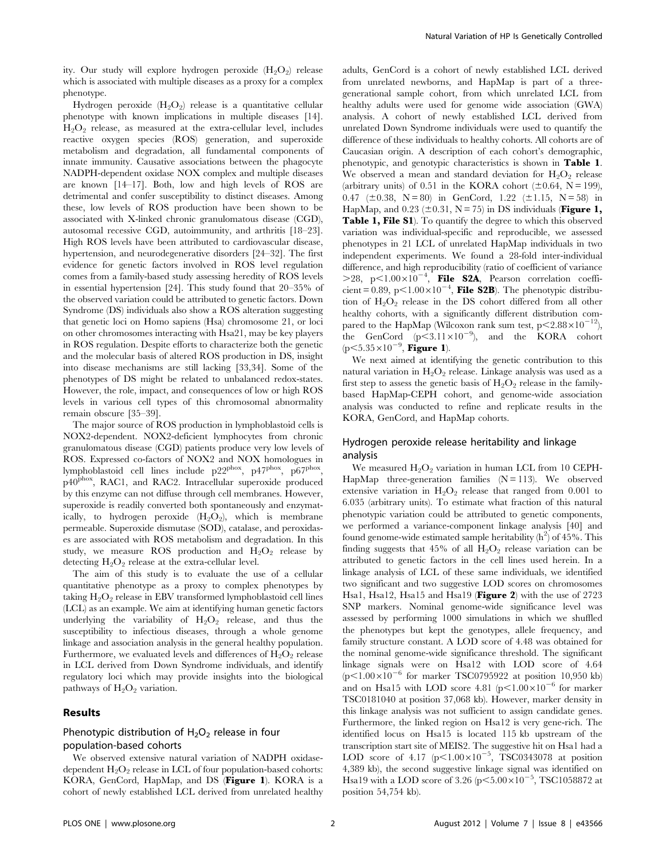ity. Our study will explore hydrogen peroxide  $(H_2O_2)$  release which is associated with multiple diseases as a proxy for a complex phenotype.

Hydrogen peroxide  $(H_2O_2)$  release is a quantitative cellular phenotype with known implications in multiple diseases [14].  $H_2O_2$  release, as measured at the extra-cellular level, includes reactive oxygen species (ROS) generation, and superoxide metabolism and degradation, all fundamental components of innate immunity. Causative associations between the phagocyte NADPH-dependent oxidase NOX complex and multiple diseases are known [14–17]. Both, low and high levels of ROS are detrimental and confer susceptibility to distinct diseases. Among these, low levels of ROS production have been shown to be associated with X-linked chronic granulomatous disease (CGD), autosomal recessive CGD, autoimmunity, and arthritis [18–23]. High ROS levels have been attributed to cardiovascular disease, hypertension, and neurodegenerative disorders [24–32]. The first evidence for genetic factors involved in ROS level regulation comes from a family-based study assessing heredity of ROS levels in essential hypertension [24]. This study found that 20–35% of the observed variation could be attributed to genetic factors. Down Syndrome (DS) individuals also show a ROS alteration suggesting that genetic loci on Homo sapiens (Hsa) chromosome 21, or loci on other chromosomes interacting with Hsa21, may be key players in ROS regulation. Despite efforts to characterize both the genetic and the molecular basis of altered ROS production in DS, insight into disease mechanisms are still lacking [33,34]. Some of the phenotypes of DS might be related to unbalanced redox-states. However, the role, impact, and consequences of low or high ROS levels in various cell types of this chromosomal abnormality remain obscure [35–39].

The major source of ROS production in lymphoblastoid cells is NOX2-dependent. NOX2-deficient lymphocytes from chronic granulomatous disease (CGD) patients produce very low levels of ROS. Expressed co-factors of NOX2 and NOX homologues in lymphoblastoid cell lines include p22phox, p47phox, p67phox, p40phox, RAC1, and RAC2. Intracellular superoxide produced by this enzyme can not diffuse through cell membranes. However, superoxide is readily converted both spontaneously and enzymatically, to hydrogen peroxide  $(H_2O_2)$ , which is membrane permeable. Superoxide dismutase (SOD), catalase, and peroxidases are associated with ROS metabolism and degradation. In this study, we measure ROS production and  $H_2O_2$  release by detecting  $H_2O_2$  release at the extra-cellular level.

The aim of this study is to evaluate the use of a cellular quantitative phenotype as a proxy to complex phenotypes by taking  $H_2O_2$  release in EBV transformed lymphoblastoid cell lines (LCL) as an example. We aim at identifying human genetic factors underlying the variability of  $H_2O_2$  release, and thus the susceptibility to infectious diseases, through a whole genome linkage and association analysis in the general healthy population. Furthermore, we evaluated levels and differences of  $H_2O_2$  release in LCL derived from Down Syndrome individuals, and identify regulatory loci which may provide insights into the biological pathways of  $H_2O_2$  variation.

## Results

# Phenotypic distribution of  $H_2O_2$  release in four population-based cohorts

We observed extensive natural variation of NADPH oxidasedependent  $H_2O_2$  release in LCL of four population-based cohorts: KORA, GenCord, HapMap, and DS (Figure 1). KORA is a cohort of newly established LCL derived from unrelated healthy

adults, GenCord is a cohort of newly established LCL derived from unrelated newborns, and HapMap is part of a threegenerational sample cohort, from which unrelated LCL from healthy adults were used for genome wide association (GWA) analysis. A cohort of newly established LCL derived from unrelated Down Syndrome individuals were used to quantify the difference of these individuals to healthy cohorts. All cohorts are of Caucasian origin. A description of each cohort's demographic, phenotypic, and genotypic characteristics is shown in Table 1. We observed a mean and standard deviation for  $H_2O_2$  release (arbitrary units) of 0.51 in the KORA cohort ( $\pm$ 0.64, N = 199), 0.47 ( $\pm$ 0.38, N = 80) in GenCord, 1.22 ( $\pm$ 1.15, N = 58) in HapMap, and  $0.23$  ( $\pm 0.31$ , N = 75) in DS individuals (**Figure 1,** Table 1, File S1). To quantify the degree to which this observed variation was individual-specific and reproducible, we assessed phenotypes in 21 LCL of unrelated HapMap individuals in two independent experiments. We found a 28-fold inter-individual difference, and high reproducibility (ratio of coefficient of variance  $>$ 28, p $<$ 1.00 $\times$ 10<sup>-4</sup>, File S2A, Pearson correlation coefficient = 0.89, p $\leq$ 1.00 $\times$ 10<sup>-4</sup>, File S2B). The phenotypic distribution of  $H_2O_2$  release in the DS cohort differed from all other healthy cohorts, with a significantly different distribution compared to the HapMap (Wilcoxon rank sum test,  $p < 2.88 \times 10^{-12}$ ), the GenCord  $(p<3.11\times10^{-9})$ , and the KORA cohort  $(p<5.35\times10^{-9}, \text{Figure 1}).$ 

We next aimed at identifying the genetic contribution to this natural variation in  $H_2O_2$  release. Linkage analysis was used as a first step to assess the genetic basis of  $H_2O_2$  release in the familybased HapMap-CEPH cohort, and genome-wide association analysis was conducted to refine and replicate results in the KORA, GenCord, and HapMap cohorts.

## Hydrogen peroxide release heritability and linkage analysis

We measured  $H_2O_2$  variation in human LCL from 10 CEPH-HapMap three-generation families  $(N = 113)$ . We observed extensive variation in  $H_2O_2$  release that ranged from 0.001 to 6.035 (arbitrary units). To estimate what fraction of this natural phenotypic variation could be attributed to genetic components, we performed a variance-component linkage analysis [40] and found genome-wide estimated sample heritability  $(h^2)$  of 45%. This finding suggests that  $45\%$  of all  $H_2O_2$  release variation can be attributed to genetic factors in the cell lines used herein. In a linkage analysis of LCL of these same individuals, we identified two significant and two suggestive LOD scores on chromosomes Hsa1, Hsa12, Hsa15 and Hsa19 (Figure 2) with the use of 2723 SNP markers. Nominal genome-wide significance level was assessed by performing 1000 simulations in which we shuffled the phenotypes but kept the genotypes, allele frequency, and family structure constant. A LOD score of 4.48 was obtained for the nominal genome-wide significance threshold. The significant linkage signals were on Hsa12 with LOD score of 4.64  $(p<1.00\times10^{-6}$  for marker TSC0795922 at position 10,950 kb) and on Hsa15 with LOD score 4.81 ( $p<1.00\times10^{-6}$  for marker TSC0181040 at position 37,068 kb). However, marker density in this linkage analysis was not sufficient to assign candidate genes. Furthermore, the linked region on Hsa12 is very gene-rich. The identified locus on Hsa15 is located 115 kb upstream of the transcription start site of MEIS2. The suggestive hit on Hsa1 had a LOD score of 4.17  $(p<1.00\times10^{-5}$ , TSC0343078 at position 4,389 kb), the second suggestive linkage signal was identified on Hsa19 with a LOD score of 3.26 (p<5.00 $\times$ 10<sup>-5</sup>, TSC1058872 at position 54,754 kb).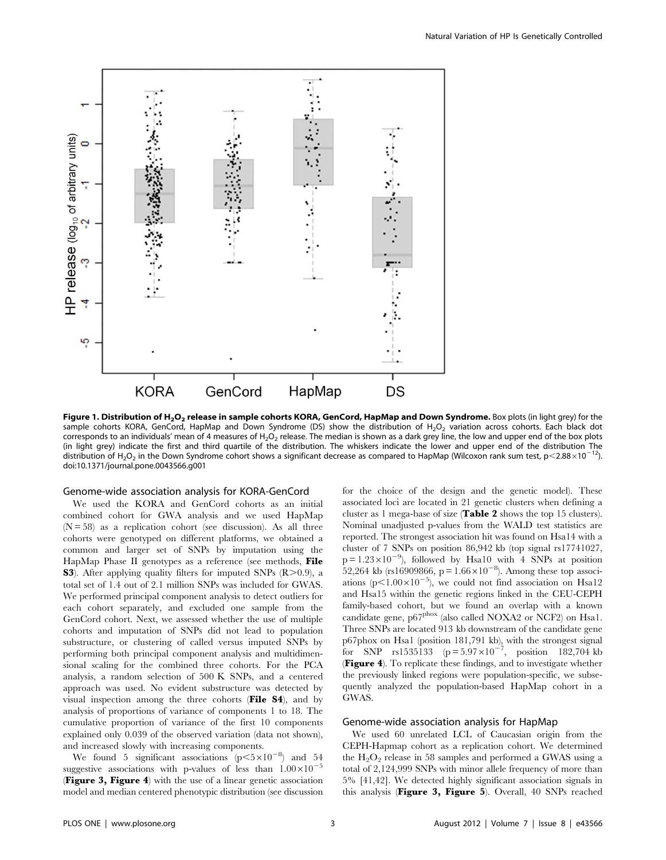

Figure 1. Distribution of H<sub>2</sub>O<sub>2</sub> release in sample cohorts KORA, GenCord, HapMap and Down Syndrome. Box plots (in light grey) for the sample cohorts KORA, GenCord, HapMap and Down Syndrome (DS) show the distribution of H<sub>2</sub>O<sub>2</sub> variation across cohorts. Each black dot corresponds to an individuals' mean of 4 measures of H<sub>2</sub>O<sub>2</sub> release. The median is shown as a dark grey line, the low and upper end of the box plots (in light grey) indicate the first and third quartile of the distribution. The whiskers indicate the lower and upper end of the distribution The distribution of H<sub>2</sub>O<sub>2</sub> in the Down Syndrome cohort shows a significant decrease as compared to HapMap (Wilcoxon rank sum test, p<2.88×10<sup>-12</sup>). doi:10.1371/journal.pone.0043566.g001

#### Genome-wide association analysis for KORA-GenCord

We used the KORA and GenCord cohorts as an initial combined cohort for GWA analysis and we used HapMap  $(N = 58)$  as a replication cohort (see discussion). As all three cohorts were genotyped on different platforms, we obtained a common and larger set of SNPs by imputation using the HapMap Phase II genotypes as a reference (see methods, File **S3**). After applying quality filters for imputed SNPs  $(R>0.9)$ , a total set of 1.4 out of 2.1 million SNPs was included for GWAS. We performed principal component analysis to detect outliers for each cohort separately, and excluded one sample from the GenCord cohort. Next, we assessed whether the use of multiple cohorts and imputation of SNPs did not lead to population substructure, or clustering of called versus imputed SNPs by performing both principal component analysis and multidimensional scaling for the combined three cohorts. For the PCA analysis, a random selection of 500 K SNPs, and a centered approach was used. No evident substructure was detected by visual inspection among the three cohorts (File S4), and by analysis of proportions of variance of components 1 to 18. The cumulative proportion of variance of the first 10 components explained only 0.039 of the observed variation (data not shown), and increased slowly with increasing components.

We found 5 significant associations  $(p<5\times10^{-8})$  and 54 suggestive associations with p-values of less than  $1.00\times10^{-5}$ (Figure 3, Figure 4) with the use of a linear genetic association model and median centered phenotypic distribution (see discussion for the choice of the design and the genetic model). These associated loci are located in 21 genetic clusters when defining a cluster as 1 mega-base of size (Table 2 shows the top 15 clusters). Nominal unadjusted p-values from the WALD test statistics are reported. The strongest association hit was found on Hsa14 with a cluster of 7 SNPs on position 86,942 kb (top signal rs17741027,  $p = 1.23 \times 10^{-9}$ , followed by Hsa10 with 4 SNPs at position 52,264 kb (rs16909866, p =  $1.66 \times 10^{-8}$ ). Among these top associations ( $p<1.00\times10^{-5}$ ), we could not find association on Hsa12 and Hsa15 within the genetic regions linked in the CEU-CEPH family-based cohort, but we found an overlap with a known candidate gene, p67<sup>phox</sup> (also called NOXA2 or NCF2) on Hsa1. Three SNPs are located 913 kb downstream of the candidate gene p67phox on Hsa1 (position 181,791 kb), with the strongest signal for SNP rs1535133 ( $p = 5.97 \times 10^{-7}$ , position 182,704 kb (Figure 4). To replicate these findings, and to investigate whether the previously linked regions were population-specific, we subsequently analyzed the population-based HapMap cohort in a GWAS.

# Genome-wide association analysis for HapMap

We used 60 unrelated LCL of Caucasian origin from the CEPH-Hapmap cohort as a replication cohort. We determined the  $H_2O_2$  release in 58 samples and performed a GWAS using a total of 2,124,999 SNPs with minor allele frequency of more than 5% [41,42]. We detected highly significant association signals in this analysis (Figure 3, Figure 5). Overall, 40 SNPs reached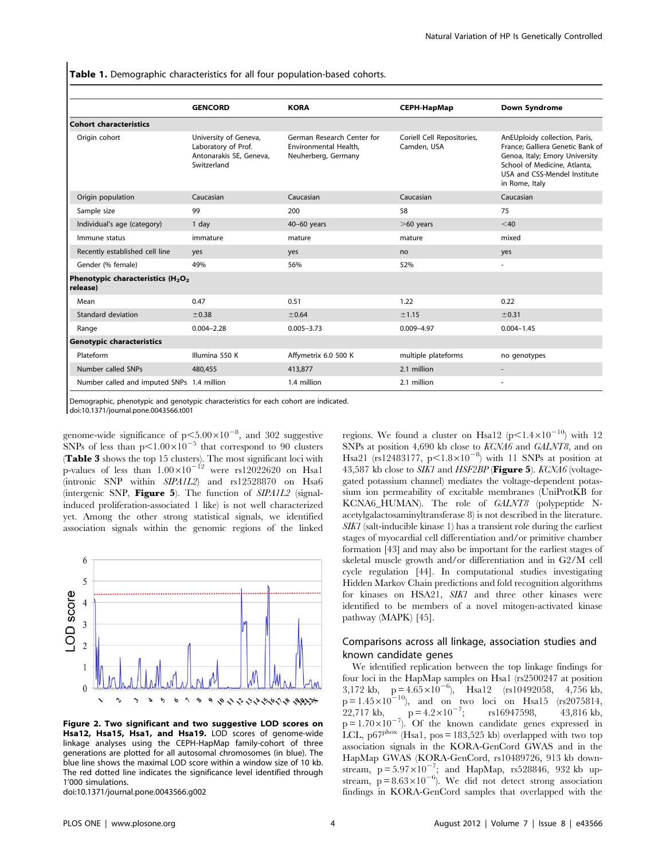Table 1. Demographic characteristics for all four population-based cohorts.

|                                                                       | <b>GENCORD</b>                                                                         | <b>KORA</b>                                                                | <b>CEPH-HapMap</b>                        | <b>Down Syndrome</b>                                                                                                                                                                  |
|-----------------------------------------------------------------------|----------------------------------------------------------------------------------------|----------------------------------------------------------------------------|-------------------------------------------|---------------------------------------------------------------------------------------------------------------------------------------------------------------------------------------|
| <b>Cohort characteristics</b>                                         |                                                                                        |                                                                            |                                           |                                                                                                                                                                                       |
| Origin cohort                                                         | University of Geneva,<br>Laboratory of Prof.<br>Antonarakis SE, Geneva,<br>Switzerland | German Research Center for<br>Environmental Health,<br>Neuherberg, Germany | Coriell Cell Repositories,<br>Camden, USA | AnEUploidy collection, Paris,<br>France: Galliera Genetic Bank of<br>Genoa, Italy; Emory University<br>School of Medicine, Atlanta,<br>USA and CSS-Mendel Institute<br>in Rome, Italy |
| Origin population                                                     | Caucasian                                                                              | Caucasian                                                                  | Caucasian                                 | Caucasian                                                                                                                                                                             |
| Sample size                                                           | 99                                                                                     | 200                                                                        | 58                                        | 75                                                                                                                                                                                    |
| Individual's age (category)                                           | 1 day                                                                                  | $40-60$ years                                                              | $>60$ years                               | $<$ 40                                                                                                                                                                                |
| Immune status                                                         | immature                                                                               | mature                                                                     | mature                                    | mixed                                                                                                                                                                                 |
| Recently established cell line                                        | yes                                                                                    | yes                                                                        | no                                        | yes                                                                                                                                                                                   |
| Gender (% female)                                                     | 49%                                                                                    | 56%                                                                        | 52%                                       | ٠                                                                                                                                                                                     |
| Phenotypic characteristics (H <sub>2</sub> O <sub>2</sub><br>release) |                                                                                        |                                                                            |                                           |                                                                                                                                                                                       |
| Mean                                                                  | 0.47                                                                                   | 0.51                                                                       | 1.22                                      | 0.22                                                                                                                                                                                  |
| Standard deviation                                                    | ±0.38                                                                                  | ±0.64                                                                      | ±1.15                                     | ±0.31                                                                                                                                                                                 |
| Range                                                                 | $0.004 - 2.28$                                                                         | $0.005 - 3.73$                                                             | $0.009 - 4.97$                            | $0.004 - 1.45$                                                                                                                                                                        |
| <b>Genotypic characteristics</b>                                      |                                                                                        |                                                                            |                                           |                                                                                                                                                                                       |
| Plateform                                                             | Illumina 550 K                                                                         | Affymetrix 6.0 500 K                                                       | multiple plateforms                       | no genotypes                                                                                                                                                                          |
| Number called SNPs                                                    | 480,455                                                                                | 413,877                                                                    | 2.1 million                               |                                                                                                                                                                                       |
| Number called and imputed SNPs 1.4 million                            |                                                                                        | 1.4 million                                                                | 2.1 million                               | ٠                                                                                                                                                                                     |

Demographic, phenotypic and genotypic characteristics for each cohort are indicated. doi:10.1371/journal.pone.0043566.t001

genome-wide significance of  $p<5.00\times10^{-8}$ , and 302 suggestive SNPs of less than  $p<1.00\times10^{-5}$  that correspond to 90 clusters **Table 3** shows the top 15 clusters). The most significant loci with p-values of less than  $1.00\times10^{-12}$  were rs12022620 on Hsa1 (intronic SNP within SIPA1L2) and rs12528870 on Hsa6 (intergenic SNP, Figure 5). The function of SIPA1L2 (signalinduced proliferation-associated 1 like) is not well characterized yet. Among the other strong statistical signals, we identified association signals within the genomic regions of the linked



Figure 2. Two significant and two suggestive LOD scores on Hsa12, Hsa15, Hsa1, and Hsa19. LOD scores of genome-wide linkage analyses using the CEPH-HapMap family-cohort of three generations are plotted for all autosomal chromosomes (in blue). The blue line shows the maximal LOD score within a window size of 10 kb. The red dotted line indicates the significance level identified through 1'000 simulations.

doi:10.1371/journal.pone.0043566.g002

regions. We found a cluster on Hsa12 ( $p<1.4\times10^{-10}$ ) with 12 SNPs at position 4,690 kb close to KCNA6 and GALNT8, and on Hsa21 (rs12483177,  $p<1.8\times10^{-8}$ ) with 11 SNPs at position at 43,587 kb close to SIK1 and HSF2BP (Figure 5). KCNA6 (voltagegated potassium channel) mediates the voltage-dependent potassium ion permeability of excitable membranes (UniProtKB for KCNA6\_HUMAN). The role of GALNT8 (polypeptide Nacetylgalactosaminyltransferase 8) is not described in the literature. SIK1 (salt-inducible kinase 1) has a transient role during the earliest stages of myocardial cell differentiation and/or primitive chamber formation [43] and may also be important for the earliest stages of skeletal muscle growth and/or differentiation and in G2/M cell cycle regulation [44]. In computational studies investigating Hidden Markov Chain predictions and fold recognition algorithms for kinases on HSA21, SIK1 and three other kinases were identified to be members of a novel mitogen-activated kinase pathway (MAPK) [45].

# Comparisons across all linkage, association studies and known candidate genes

We identified replication between the top linkage findings for four loci in the HapMap samples on Hsa1 (rs2500247 at position 3,172 kb,  $p = 4.65 \times 10^{-6}$ , Hsal2 (rs10492058, 4,756 kb,  $p = 1.45 \times 10^{-10}$ , and on two loci on Hsa15 (rs2075814, 22,717 kb,  $p = 4.2 \times 10^{-7}$ ; rs16947598, 43,816 kb,  $p = 1.70 \times 10^{-7}$ ). Of the known candidate genes expressed in LCL,  $p67^{pbox}$  (Hsa1,  $pos = 183,525$  kb) overlapped with two top association signals in the KORA-GenCord GWAS and in the HapMap GWAS (KORA-GenCord, rs10489726, 913 kb downstream,  $p = 5.97 \times 10^{-7}$ ; and HapMap, rs528846, 932 kb upstream,  $p = 8.63 \times 10^{-6}$ ). We did not detect strong association findings in KORA-GenCord samples that overlapped with the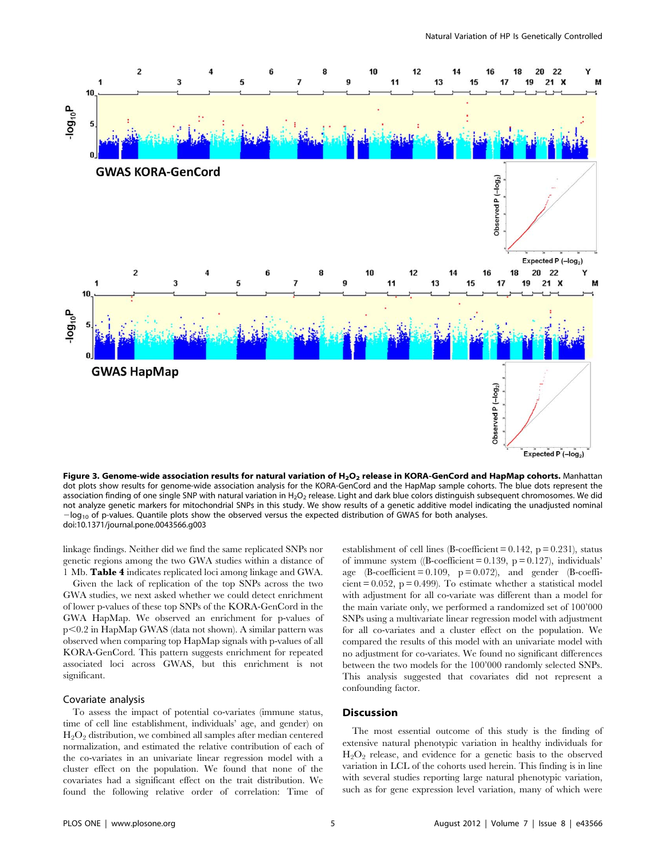

Figure 3. Genome-wide association results for natural variation of  $H_2O_2$  release in KORA-GenCord and HapMap cohorts. Manhattan dot plots show results for genome-wide association analysis for the KORA-GenCord and the HapMap sample cohorts. The blue dots represent the association finding of one single SNP with natural variation in H<sub>2</sub>O<sub>2</sub> release. Light and dark blue colors distinguish subsequent chromosomes. We did not analyze genetic markers for mitochondrial SNPs in this study. We show results of a genetic additive model indicating the unadjusted nominal  $-$ log<sub>10</sub> of p-values. Quantile plots show the observed versus the expected distribution of GWAS for both analyses. doi:10.1371/journal.pone.0043566.g003

linkage findings. Neither did we find the same replicated SNPs nor genetic regions among the two GWA studies within a distance of 1 Mb. Table 4 indicates replicated loci among linkage and GWA.

Given the lack of replication of the top SNPs across the two GWA studies, we next asked whether we could detect enrichment of lower p-values of these top SNPs of the KORA-GenCord in the GWA HapMap. We observed an enrichment for p-values of  $p<0.2$  in HapMap GWAS (data not shown). A similar pattern was observed when comparing top HapMap signals with p-values of all KORA-GenCord. This pattern suggests enrichment for repeated associated loci across GWAS, but this enrichment is not significant.

## Covariate analysis

To assess the impact of potential co-variates (immune status, time of cell line establishment, individuals' age, and gender) on  $H<sub>2</sub>O<sub>2</sub>$  distribution, we combined all samples after median centered normalization, and estimated the relative contribution of each of the co-variates in an univariate linear regression model with a cluster effect on the population. We found that none of the covariates had a significant effect on the trait distribution. We found the following relative order of correlation: Time of

establishment of cell lines (B-coefficient =  $0.142$ , p =  $0.231$ ), status of immune system ( $\beta$ -coefficient = 0.139, p = 0.127), individuals' age  $(B\text{-coefficient} = 0.109, p = 0.072)$ , and gender  $(B\text{-coefficient})$ cient =  $0.052$ , p =  $0.499$ ). To estimate whether a statistical model with adjustment for all co-variate was different than a model for the main variate only, we performed a randomized set of 100'000 SNPs using a multivariate linear regression model with adjustment for all co-variates and a cluster effect on the population. We compared the results of this model with an univariate model with no adjustment for co-variates. We found no significant differences between the two models for the 100'000 randomly selected SNPs. This analysis suggested that covariates did not represent a confounding factor.

# Discussion

The most essential outcome of this study is the finding of extensive natural phenotypic variation in healthy individuals for  $H<sub>2</sub>O<sub>2</sub>$  release, and evidence for a genetic basis to the observed variation in LCL of the cohorts used herein. This finding is in line with several studies reporting large natural phenotypic variation, such as for gene expression level variation, many of which were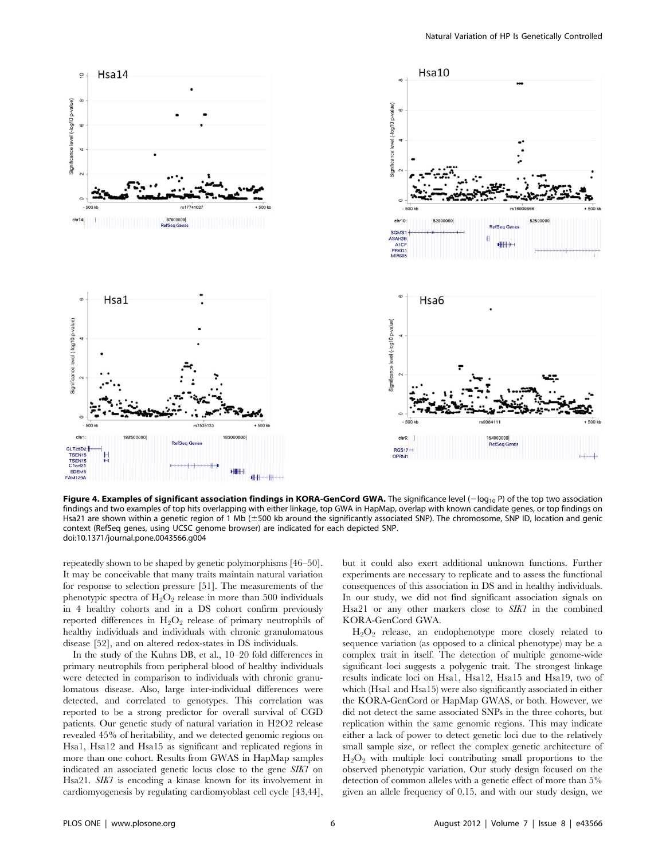

Figure 4. Examples of significant association findings in KORA-GenCord GWA. The significance level  $(-\log_{10} P)$  of the top two association findings and two examples of top hits overlapping with either linkage, top GWA in HapMap, overlap with known candidate genes, or top findings on Hsa21 are shown within a genetic region of 1 Mb ( $\pm$ 500 kb around the significantly associated SNP). The chromosome, SNP ID, location and genic context (RefSeq genes, using UCSC genome browser) are indicated for each depicted SNP. doi:10.1371/journal.pone.0043566.g004

repeatedly shown to be shaped by genetic polymorphisms [46–50]. It may be conceivable that many traits maintain natural variation for response to selection pressure [51]. The measurements of the phenotypic spectra of  $H_2O_2$  release in more than 500 individuals in 4 healthy cohorts and in a DS cohort confirm previously reported differences in  $H_2O_2$  release of primary neutrophils of healthy individuals and individuals with chronic granulomatous disease [52], and on altered redox-states in DS individuals.

In the study of the Kuhns DB, et al., 10–20 fold differences in primary neutrophils from peripheral blood of healthy individuals were detected in comparison to individuals with chronic granulomatous disease. Also, large inter-individual differences were detected, and correlated to genotypes. This correlation was reported to be a strong predictor for overall survival of CGD patients. Our genetic study of natural variation in H2O2 release revealed 45% of heritability, and we detected genomic regions on Hsa1, Hsa12 and Hsa15 as significant and replicated regions in more than one cohort. Results from GWAS in HapMap samples indicated an associated genetic locus close to the gene SIK1 on Hsa21. SIK1 is encoding a kinase known for its involvement in cardiomyogenesis by regulating cardiomyoblast cell cycle [43,44],

but it could also exert additional unknown functions. Further experiments are necessary to replicate and to assess the functional consequences of this association in DS and in healthy individuals. In our study, we did not find significant association signals on Hsa21 or any other markers close to SIK1 in the combined KORA-GenCord GWA.

 $H_2O_2$  release, an endophenotype more closely related to sequence variation (as opposed to a clinical phenotype) may be a complex trait in itself. The detection of multiple genome-wide significant loci suggests a polygenic trait. The strongest linkage results indicate loci on Hsa1, Hsa12, Hsa15 and Hsa19, two of which (Hsa1 and Hsa15) were also significantly associated in either the KORA-GenCord or HapMap GWAS, or both. However, we did not detect the same associated SNPs in the three cohorts, but replication within the same genomic regions. This may indicate either a lack of power to detect genetic loci due to the relatively small sample size, or reflect the complex genetic architecture of  $H_2O_2$  with multiple loci contributing small proportions to the observed phenotypic variation. Our study design focused on the detection of common alleles with a genetic effect of more than 5% given an allele frequency of 0.15, and with our study design, we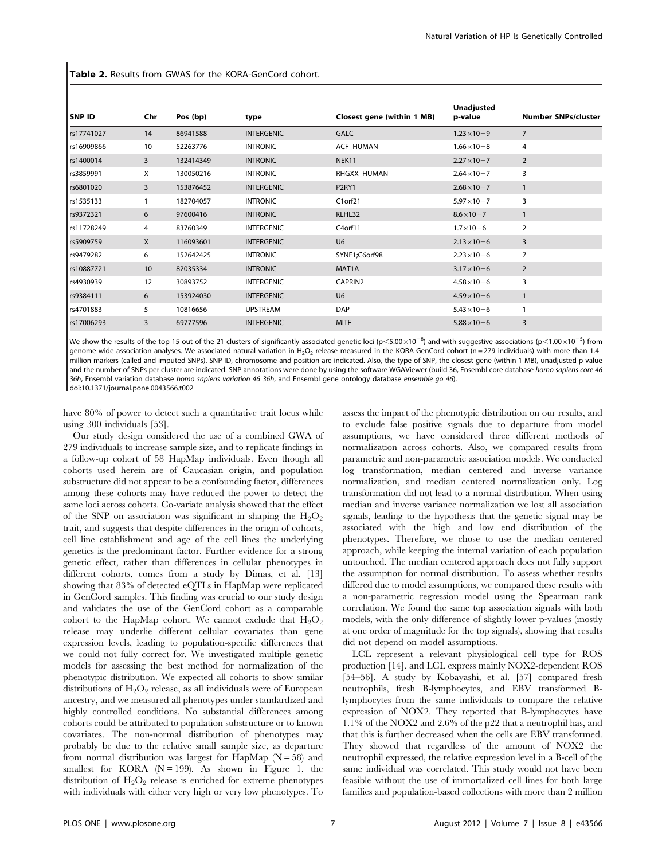Table 2. Results from GWAS for the KORA-GenCord cohort.

| SNP ID     | Chr | Pos (bp)  | type              | Closest gene (within 1 MB) | <b>Unadjusted</b><br>p-value | <b>Number SNPs/cluster</b> |
|------------|-----|-----------|-------------------|----------------------------|------------------------------|----------------------------|
| rs17741027 | 14  | 86941588  | <b>INTERGENIC</b> | <b>GALC</b>                | $1.23 \times 10 - 9$         | $\overline{7}$             |
| rs16909866 | 10  | 52263776  | <b>INTRONIC</b>   | ACF_HUMAN                  | $1.66 \times 10 - 8$         | $\overline{4}$             |
| rs1400014  | 3   | 132414349 | <b>INTRONIC</b>   | NEK11                      | $2.27 \times 10 - 7$         | 2                          |
| rs3859991  | X   | 130050216 | <b>INTRONIC</b>   | RHGXX_HUMAN                | $2.64 \times 10 - 7$         | 3                          |
| rs6801020  | 3   | 153876452 | <b>INTERGENIC</b> | P <sub>2RY1</sub>          | $2.68 \times 10 - 7$         | $\mathbf{1}$               |
| rs1535133  |     | 182704057 | <b>INTRONIC</b>   | C1orf21                    | $5.97 \times 10 - 7$         | 3                          |
| rs9372321  | 6   | 97600416  | <b>INTRONIC</b>   | KLHL32                     | $8.6 \times 10 - 7$          | $\mathbf{1}$               |
| rs11728249 | 4   | 83760349  | <b>INTERGENIC</b> | C4orf11                    | $1.7 \times 10 - 6$          | $\overline{2}$             |
| rs5909759  | X   | 116093601 | <b>INTERGENIC</b> | U <sub>6</sub>             | $2.13 \times 10 - 6$         | 3                          |
| rs9479282  | 6   | 152642425 | <b>INTRONIC</b>   | SYNE1;C6orf98              | $2.23 \times 10 - 6$         | $\overline{7}$             |
| rs10887721 | 10  | 82035334  | <b>INTRONIC</b>   | MAT1A                      | $3.17 \times 10 - 6$         | $\overline{2}$             |
| rs4930939  | 12  | 30893752  | <b>INTERGENIC</b> | CAPRIN2                    | $4.58 \times 10 - 6$         | 3                          |
| rs9384111  | 6   | 153924030 | <b>INTERGENIC</b> | U <sub>6</sub>             | $4.59 \times 10 - 6$         | $\mathbf{1}$               |
| rs4701883  | 5   | 10816656  | <b>UPSTREAM</b>   | <b>DAP</b>                 | $5.43 \times 10 - 6$         |                            |
| rs17006293 | 3   | 69777596  | <b>INTERGENIC</b> | <b>MITF</b>                | $5.88 \times 10 - 6$         | 3                          |

We show the results of the top 15 out of the 21 clusters of significantly associated genetic loci (p<5.00 $\times10^{-8}$ ) and with suggestive associations (p<1.00 $\times10^{-5}$ ) from genome-wide association analyses. We associated natural variation in H<sub>2</sub>O<sub>2</sub> release measured in the KORA-GenCord cohort (n = 279 individuals) with more than 1.4 million markers (called and imputed SNPs). SNP ID, chromosome and position are indicated. Also, the type of SNP, the closest gene (within 1 MB), unadjusted p-value and the number of SNPs per cluster are indicated. SNP annotations were done by using the software WGAViewer (build 36, Ensembl core database homo sapiens core 46 36h, Ensembl variation database homo sapiens variation 46 36h, and Ensembl gene ontology database ensemble go 46).

doi:10.1371/journal.pone.0043566.t002

have 80% of power to detect such a quantitative trait locus while using 300 individuals [53].

Our study design considered the use of a combined GWA of 279 individuals to increase sample size, and to replicate findings in a follow-up cohort of 58 HapMap individuals. Even though all cohorts used herein are of Caucasian origin, and population substructure did not appear to be a confounding factor, differences among these cohorts may have reduced the power to detect the same loci across cohorts. Co-variate analysis showed that the effect of the SNP on association was significant in shaping the  $H_2O_2$ trait, and suggests that despite differences in the origin of cohorts, cell line establishment and age of the cell lines the underlying genetics is the predominant factor. Further evidence for a strong genetic effect, rather than differences in cellular phenotypes in different cohorts, comes from a study by Dimas, et al. [13] showing that 83% of detected eQTLs in HapMap were replicated in GenCord samples. This finding was crucial to our study design and validates the use of the GenCord cohort as a comparable cohort to the HapMap cohort. We cannot exclude that  $H_2O_2$ release may underlie different cellular covariates than gene expression levels, leading to population-specific differences that we could not fully correct for. We investigated multiple genetic models for assessing the best method for normalization of the phenotypic distribution. We expected all cohorts to show similar distributions of  $H_2O_2$  release, as all individuals were of European ancestry, and we measured all phenotypes under standardized and highly controlled conditions. No substantial differences among cohorts could be attributed to population substructure or to known covariates. The non-normal distribution of phenotypes may probably be due to the relative small sample size, as departure from normal distribution was largest for HapMap ( $N = 58$ ) and smallest for KORA  $(N = 199)$ . As shown in Figure 1, the distribution of  $H_2O_2$  release is enriched for extreme phenotypes with individuals with either very high or very low phenotypes. To assess the impact of the phenotypic distribution on our results, and to exclude false positive signals due to departure from model assumptions, we have considered three different methods of normalization across cohorts. Also, we compared results from parametric and non-parametric association models. We conducted log transformation, median centered and inverse variance normalization, and median centered normalization only. Log transformation did not lead to a normal distribution. When using median and inverse variance normalization we lost all association signals, leading to the hypothesis that the genetic signal may be associated with the high and low end distribution of the phenotypes. Therefore, we chose to use the median centered approach, while keeping the internal variation of each population untouched. The median centered approach does not fully support the assumption for normal distribution. To assess whether results differed due to model assumptions, we compared these results with a non-parametric regression model using the Spearman rank correlation. We found the same top association signals with both models, with the only difference of slightly lower p-values (mostly at one order of magnitude for the top signals), showing that results did not depend on model assumptions.

LCL represent a relevant physiological cell type for ROS production [14], and LCL express mainly NOX2-dependent ROS [54–56]. A study by Kobayashi, et al. [57] compared fresh neutrophils, fresh B-lymphocytes, and EBV transformed Blymphocytes from the same individuals to compare the relative expression of NOX2. They reported that B-lymphocytes have 1.1% of the NOX2 and 2.6% of the p22 that a neutrophil has, and that this is further decreased when the cells are EBV transformed. They showed that regardless of the amount of NOX2 the neutrophil expressed, the relative expression level in a B-cell of the same individual was correlated. This study would not have been feasible without the use of immortalized cell lines for both large families and population-based collections with more than 2 million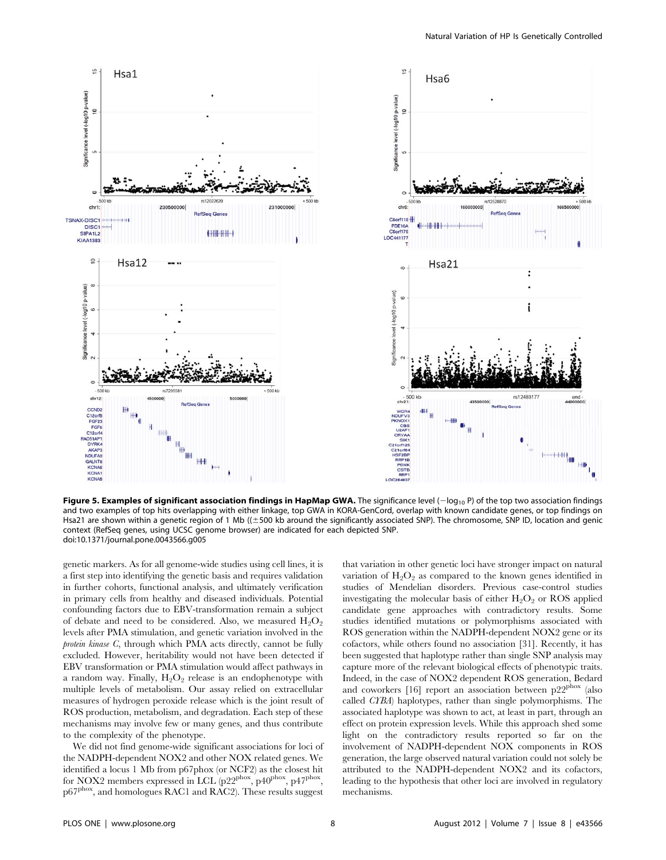

Figure 5. Examples of significant association findings in HapMap GWA. The significance level  $(-\log_{10} P)$  of the top two association findings and two examples of top hits overlapping with either linkage, top GWA in KORA-GenCord, overlap with known candidate genes, or top findings on Hsa21 are shown within a genetic region of 1 Mb ((±500 kb around the significantly associated SNP). The chromosome, SNP ID, location and genic context (RefSeq genes, using UCSC genome browser) are indicated for each depicted SNP. doi:10.1371/journal.pone.0043566.g005

genetic markers. As for all genome-wide studies using cell lines, it is a first step into identifying the genetic basis and requires validation in further cohorts, functional analysis, and ultimately verification in primary cells from healthy and diseased individuals. Potential confounding factors due to EBV-transformation remain a subject of debate and need to be considered. Also, we measured  $H_2O_2$ levels after PMA stimulation, and genetic variation involved in the protein kinase C, through which PMA acts directly, cannot be fully excluded. However, heritability would not have been detected if EBV transformation or PMA stimulation would affect pathways in a random way. Finally,  $H_2O_2$  release is an endophenotype with multiple levels of metabolism. Our assay relied on extracellular measures of hydrogen peroxide release which is the joint result of ROS production, metabolism, and degradation. Each step of these mechanisms may involve few or many genes, and thus contribute to the complexity of the phenotype.

We did not find genome-wide significant associations for loci of the NADPH-dependent NOX2 and other NOX related genes. We identified a locus 1 Mb from p67phox (or NCF2) as the closest hit for NOX2 members expressed in LCL  $(p22^{phox}, p40^{phox}, p47^{phox})$ p67<sup>phox</sup>, and homologues RAC1 and RAC2). These results suggest

that variation in other genetic loci have stronger impact on natural variation of  $H_2O_2$  as compared to the known genes identified in studies of Mendelian disorders. Previous case-control studies investigating the molecular basis of either  $H_2O_2$  or ROS applied candidate gene approaches with contradictory results. Some studies identified mutations or polymorphisms associated with ROS generation within the NADPH-dependent NOX2 gene or its cofactors, while others found no association [31]. Recently, it has been suggested that haplotype rather than single SNP analysis may capture more of the relevant biological effects of phenotypic traits. Indeed, in the case of NOX2 dependent ROS generation, Bedard and coworkers [16] report an association between p22<sup>phox</sup> (also called CYBA) haplotypes, rather than single polymorphisms. The associated haplotype was shown to act, at least in part, through an effect on protein expression levels. While this approach shed some light on the contradictory results reported so far on the involvement of NADPH-dependent NOX components in ROS generation, the large observed natural variation could not solely be attributed to the NADPH-dependent NOX2 and its cofactors, leading to the hypothesis that other loci are involved in regulatory mechanisms.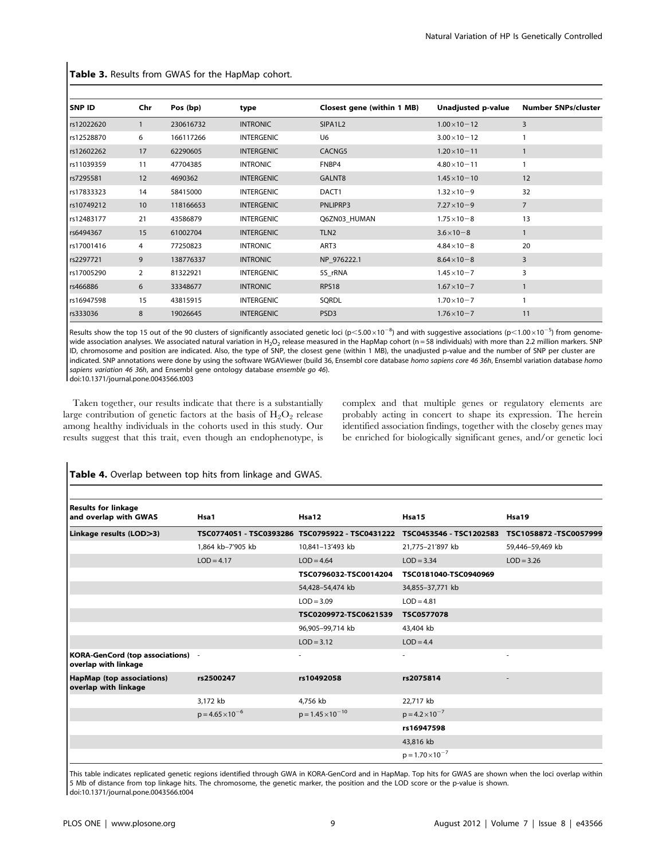| <b>SNP ID</b> | Chr          | Pos (bp)  | type              | Closest gene (within 1 MB) | Unadjusted p-value    | <b>Number SNPs/cluster</b> |
|---------------|--------------|-----------|-------------------|----------------------------|-----------------------|----------------------------|
| rs12022620    | $\mathbf{1}$ | 230616732 | <b>INTRONIC</b>   | SIPA1L2                    | $1.00 \times 10 - 12$ | 3                          |
| rs12528870    | 6            | 166117266 | <b>INTERGENIC</b> | U <sub>6</sub>             | $3.00 \times 10 - 12$ |                            |
| rs12602262    | 17           | 62290605  | <b>INTERGENIC</b> | CACNG5                     | $1.20 \times 10 - 11$ |                            |
| rs11039359    | 11           | 47704385  | <b>INTRONIC</b>   | FNBP4                      | $4.80 \times 10 - 11$ |                            |
| rs7295581     | 12           | 4690362   | <b>INTERGENIC</b> | GALNT8                     | $1.45 \times 10 - 10$ | 12                         |
| rs17833323    | 14           | 58415000  | <b>INTERGENIC</b> | DACT1                      | $1.32 \times 10 - 9$  | 32                         |
| rs10749212    | 10           | 118166653 | <b>INTERGENIC</b> | PNLIPRP3                   | $7.27 \times 10 - 9$  | $\overline{7}$             |
| rs12483177    | 21           | 43586879  | <b>INTERGENIC</b> | Q6ZN03 HUMAN               | $1.75 \times 10 - 8$  | 13                         |
| rs6494367     | 15           | 61002704  | <b>INTERGENIC</b> | TLN <sub>2</sub>           | $3.6 \times 10 - 8$   |                            |
| rs17001416    | 4            | 77250823  | <b>INTRONIC</b>   | ART3                       | $4.84 \times 10 - 8$  | 20                         |
| rs2297721     | 9            | 138776337 | <b>INTRONIC</b>   | NP 976222.1                | $8.64 \times 10 - 8$  | 3                          |
| rs17005290    | 2            | 81322921  | <b>INTERGENIC</b> | 5S_rRNA                    | $1.45 \times 10 - 7$  | 3                          |
| rs466886      | 6            | 33348677  | <b>INTRONIC</b>   | <b>RPS18</b>               | $1.67 \times 10 - 7$  |                            |
| rs16947598    | 15           | 43815915  | <b>INTERGENIC</b> | SQRDL                      | $1.70 \times 10 - 7$  |                            |
| rs333036      | 8            | 19026645  | <b>INTERGENIC</b> | PSD <sub>3</sub>           | $1.76 \times 10 - 7$  | 11                         |

Table 3. Results from GWAS for the HapMap cohort.

Results show the top 15 out of the 90 clusters of significantly associated genetic loci ( $p<5.00 \times 10^{-8}$ ) and with suggestive associations ( $p<1.00\times10^{-5}$ ) from genomewide association analyses. We associated natural variation in H<sub>2</sub>O<sub>2</sub> release measured in the HapMap cohort (n = 58 individuals) with more than 2.2 million markers. SNP ID, chromosome and position are indicated. Also, the type of SNP, the closest gene (within 1 MB), the unadjusted p-value and the number of SNP per cluster are indicated. SNP annotations were done by using the software WGAViewer (build 36, Ensembl core database homo sapiens core 46 36h, Ensembl variation database homo sapiens variation 46 36h, and Ensembl gene ontology database ensemble go 46). doi:10.1371/journal.pone.0043566.t003

Taken together, our results indicate that there is a substantially large contribution of genetic factors at the basis of  $H_2O_2$  release among healthy individuals in the cohorts used in this study. Our results suggest that this trait, even though an endophenotype, is complex and that multiple genes or regulatory elements are probably acting in concert to shape its expression. The herein identified association findings, together with the closeby genes may be enriched for biologically significant genes, and/or genetic loci

| <b>Results for linkage</b><br>and overlap with GWAS       | Hsa1                      | Hsa12                                           | Hsa15                     | Hsa19                   |
|-----------------------------------------------------------|---------------------------|-------------------------------------------------|---------------------------|-------------------------|
| Linkage results (LOD>3)                                   |                           | TSC0774051 - TSC0393286 TSC0795922 - TSC0431222 | TSC0453546 - TSC1202583   | TSC1058872 - TSC0057999 |
|                                                           | 1,864 kb-7'905 kb         | 10,841-13'493 kb                                | 21,775-21'897 kb          | 59,446-59,469 kb        |
|                                                           | $LOD = 4.17$              | $LOD = 4.64$                                    | $LOD = 3.34$              | $LOD = 3.26$            |
|                                                           |                           | TSC0796032-TSC0014204                           | TSC0181040-TSC0940969     |                         |
|                                                           |                           | 54,428-54,474 kb                                | 34,855-37,771 kb          |                         |
|                                                           |                           | $LOD = 3.09$                                    | $LOD = 4.81$              |                         |
|                                                           |                           | TSC0209972-TSC0621539                           | <b>TSC0577078</b>         |                         |
|                                                           |                           | 96,905-99,714 kb                                | 43,404 kb                 |                         |
|                                                           |                           | $LOD = 3.12$                                    | $LOD = 4.4$               |                         |
| KORA-GenCord (top associations) -<br>overlap with linkage |                           | ٠                                               | ٠                         | ٠                       |
| HapMap (top associations)<br>overlap with linkage         | rs2500247                 | rs10492058                                      | rs2075814                 | ٠                       |
|                                                           | 3,172 kb                  | 4.756 kb                                        | 22.717 kb                 |                         |
|                                                           | $p = 4.65 \times 10^{-6}$ | $p = 1.45 \times 10^{-10}$                      | $p = 4.2 \times 10^{-7}$  |                         |
|                                                           |                           |                                                 | rs16947598                |                         |
|                                                           |                           |                                                 | 43,816 kb                 |                         |
|                                                           |                           |                                                 | $p = 1.70 \times 10^{-7}$ |                         |

Table 4. Overlap between top hits from linkage and GWAS.

This table indicates replicated genetic regions identified through GWA in KORA-GenCord and in HapMap. Top hits for GWAS are shown when the loci overlap within 5 Mb of distance from top linkage hits. The chromosome, the genetic marker, the position and the LOD score or the p-value is shown. doi:10.1371/journal.pone.0043566.t004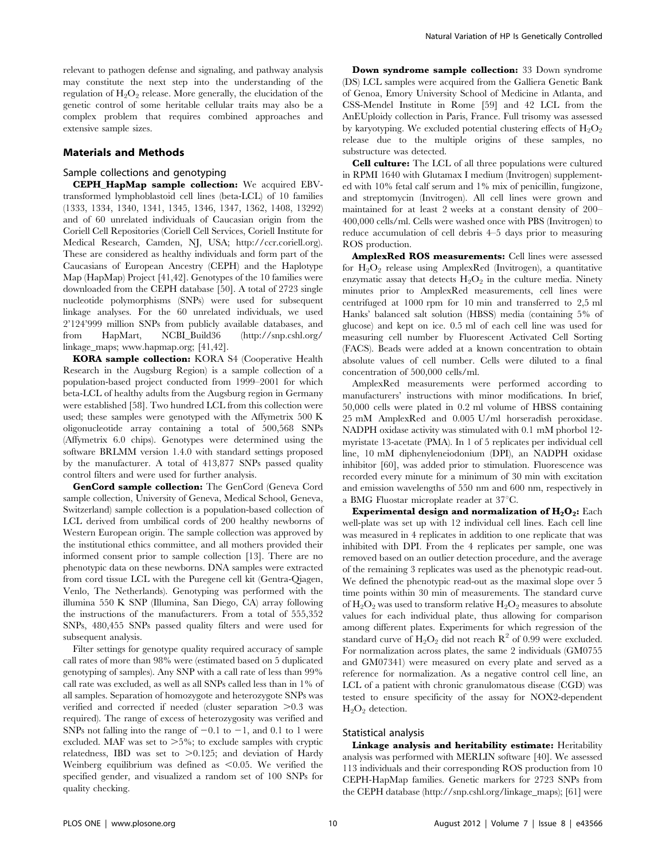relevant to pathogen defense and signaling, and pathway analysis may constitute the next step into the understanding of the regulation of  $H_2O_2$  release. More generally, the elucidation of the genetic control of some heritable cellular traits may also be a complex problem that requires combined approaches and extensive sample sizes.

## Materials and Methods

## Sample collections and genotyping

CEPH\_HapMap sample collection: We acquired EBVtransformed lymphoblastoid cell lines (beta-LCL) of 10 families (1333, 1334, 1340, 1341, 1345, 1346, 1347, 1362, 1408, 13292) and of 60 unrelated individuals of Caucasian origin from the Coriell Cell Repositories (Coriell Cell Services, Coriell Institute for Medical Research, Camden, NJ, USA; http://ccr.coriell.org). These are considered as healthy individuals and form part of the Caucasians of European Ancestry (CEPH) and the Haplotype Map (HapMap) Project [41,42]. Genotypes of the 10 families were downloaded from the CEPH database [50]. A total of 2723 single nucleotide polymorphisms (SNPs) were used for subsequent linkage analyses. For the 60 unrelated individuals, we used 2'124'999 million SNPs from publicly available databases, and from HapMart, NCBI\_Build36 (http://snp.cshl.org/ linkage\_maps; www.hapmap.org; [41,42].

KORA sample collection: KORA S4 (Cooperative Health Research in the Augsburg Region) is a sample collection of a population-based project conducted from 1999–2001 for which beta-LCL of healthy adults from the Augsburg region in Germany were established [58]. Two hundred LCL from this collection were used; these samples were genotyped with the Affymetrix 500 K oligonucleotide array containing a total of 500,568 SNPs (Affymetrix 6.0 chips). Genotypes were determined using the software BRLMM version 1.4.0 with standard settings proposed by the manufacturer. A total of 413,877 SNPs passed quality control filters and were used for further analysis.

GenCord sample collection: The GenCord (Geneva Cord sample collection, University of Geneva, Medical School, Geneva, Switzerland) sample collection is a population-based collection of LCL derived from umbilical cords of 200 healthy newborns of Western European origin. The sample collection was approved by the institutional ethics committee, and all mothers provided their informed consent prior to sample collection [13]. There are no phenotypic data on these newborns. DNA samples were extracted from cord tissue LCL with the Puregene cell kit (Gentra-Qiagen, Venlo, The Netherlands). Genotyping was performed with the illumina 550 K SNP (Illumina, San Diego, CA) array following the instructions of the manufacturers. From a total of 555,352 SNPs, 480,455 SNPs passed quality filters and were used for subsequent analysis.

Filter settings for genotype quality required accuracy of sample call rates of more than 98% were (estimated based on 5 duplicated genotyping of samples). Any SNP with a call rate of less than 99% call rate was excluded, as well as all SNPs called less than in 1% of all samples. Separation of homozygote and heterozygote SNPs was verified and corrected if needed (cluster separation  $>0.3$  was required). The range of excess of heterozygosity was verified and SNPs not falling into the range of  $-0.1$  to  $-1$ , and 0.1 to 1 were excluded. MAF was set to  $>5\%$ ; to exclude samples with cryptic relatedness, IBD was set to  $>0.125$ ; and deviation of Hardy Weinberg equilibrium was defined as  $\leq 0.05$ . We verified the specified gender, and visualized a random set of 100 SNPs for quality checking.

Down syndrome sample collection: 33 Down syndrome (DS) LCL samples were acquired from the Galliera Genetic Bank of Genoa, Emory University School of Medicine in Atlanta, and CSS-Mendel Institute in Rome [59] and 42 LCL from the AnEUploidy collection in Paris, France. Full trisomy was assessed by karyotyping. We excluded potential clustering effects of  $H_2O_2$ release due to the multiple origins of these samples, no substructure was detected.

Cell culture: The LCL of all three populations were cultured in RPMI 1640 with Glutamax I medium (Invitrogen) supplemented with 10% fetal calf serum and 1% mix of penicillin, fungizone, and streptomycin (Invitrogen). All cell lines were grown and maintained for at least 2 weeks at a constant density of 200– 400,000 cells/ml. Cells were washed once with PBS (Invitrogen) to reduce accumulation of cell debris 4–5 days prior to measuring ROS production.

AmplexRed ROS measurements: Cell lines were assessed for  $H_2O_2$  release using AmplexRed (Invitrogen), a quantitative enzymatic assay that detects  $H_2O_2$  in the culture media. Ninety minutes prior to AmplexRed measurements, cell lines were centrifuged at 1000 rpm for 10 min and transferred to 2,5 ml Hanks' balanced salt solution (HBSS) media (containing 5% of glucose) and kept on ice. 0.5 ml of each cell line was used for measuring cell number by Fluorescent Activated Cell Sorting (FACS). Beads were added at a known concentration to obtain absolute values of cell number. Cells were diluted to a final concentration of 500,000 cells/ml.

AmplexRed measurements were performed according to manufacturers' instructions with minor modifications. In brief, 50,000 cells were plated in 0.2 ml volume of HBSS containing 25 mM AmplexRed and 0.005 U/ml horseradish peroxidase. NADPH oxidase activity was stimulated with 0.1 mM phorbol 12 myristate 13-acetate (PMA). In 1 of 5 replicates per individual cell line, 10 mM diphenyleneiodonium (DPI), an NADPH oxidase inhibitor [60], was added prior to stimulation. Fluorescence was recorded every minute for a minimum of 30 min with excitation and emission wavelengths of 550 nm and 600 nm, respectively in a BMG Fluostar microplate reader at  $37^{\circ}$ C.

Experimental design and normalization of  $H_2O_2$ : Each well-plate was set up with 12 individual cell lines. Each cell line was measured in 4 replicates in addition to one replicate that was inhibited with DPI. From the 4 replicates per sample, one was removed based on an outlier detection procedure, and the average of the remaining 3 replicates was used as the phenotypic read-out. We defined the phenotypic read-out as the maximal slope over 5 time points within 30 min of measurements. The standard curve of  $H_2O_2$  was used to transform relative  $H_2O_2$  measures to absolute values for each individual plate, thus allowing for comparison among different plates. Experiments for which regression of the standard curve of  $H_2O_2$  did not reach  $R^2$  of 0.99 were excluded. For normalization across plates, the same 2 individuals (GM0755 and GM07341) were measured on every plate and served as a reference for normalization. As a negative control cell line, an LCL of a patient with chronic granulomatous disease (CGD) was tested to ensure specificity of the assay for NOX2-dependent  $H_2O_2$  detection.

#### Statistical analysis

Linkage analysis and heritability estimate: Heritability analysis was performed with MERLIN software [40]. We assessed 113 individuals and their corresponding ROS production from 10 CEPH-HapMap families. Genetic markers for 2723 SNPs from the CEPH database (http://snp.cshl.org/linkage\_maps); [61] were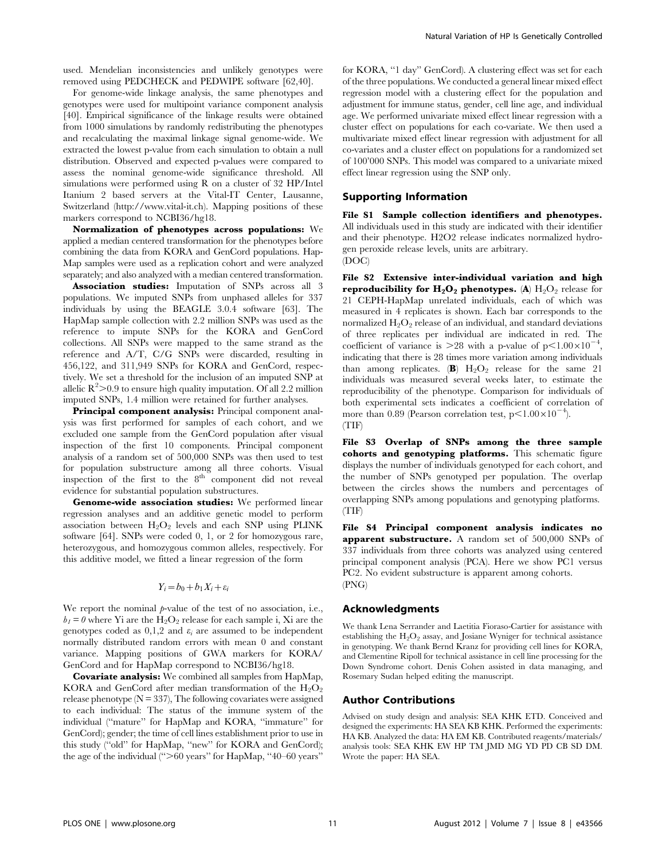used. Mendelian inconsistencies and unlikely genotypes were removed using PEDCHECK and PEDWIPE software [62,40].

For genome-wide linkage analysis, the same phenotypes and genotypes were used for multipoint variance component analysis [40]. Empirical significance of the linkage results were obtained from 1000 simulations by randomly redistributing the phenotypes and recalculating the maximal linkage signal genome-wide. We extracted the lowest p-value from each simulation to obtain a null distribution. Observed and expected p-values were compared to assess the nominal genome-wide significance threshold. All simulations were performed using R on a cluster of 32 HP/Intel Itanium 2 based servers at the Vital-IT Center, Lausanne, Switzerland (http://www.vital-it.ch). Mapping positions of these markers correspond to NCBI36/hg18.

Normalization of phenotypes across populations: We applied a median centered transformation for the phenotypes before combining the data from KORA and GenCord populations. Hap-Map samples were used as a replication cohort and were analyzed separately; and also analyzed with a median centered transformation.

Association studies: Imputation of SNPs across all 3 populations. We imputed SNPs from unphased alleles for 337 individuals by using the BEAGLE 3.0.4 software [63]. The HapMap sample collection with 2.2 million SNPs was used as the reference to impute SNPs for the KORA and GenCord collections. All SNPs were mapped to the same strand as the reference and A/T, C/G SNPs were discarded, resulting in 456,122, and 311,949 SNPs for KORA and GenCord, respectively. We set a threshold for the inclusion of an imputed SNP at allelic  $\mathbb{R}^2$  > 0.9 to ensure high quality imputation. Of all 2.2 million imputed SNPs, 1.4 million were retained for further analyses.

Principal component analysis: Principal component analysis was first performed for samples of each cohort, and we excluded one sample from the GenCord population after visual inspection of the first 10 components. Principal component analysis of a random set of 500,000 SNPs was then used to test for population substructure among all three cohorts. Visual inspection of the first to the  $8^{th}$  component did not reveal evidence for substantial population substructures.

Genome-wide association studies: We performed linear regression analyses and an additive genetic model to perform association between  $H_2O_2$  levels and each SNP using PLINK software [64]. SNPs were coded 0, 1, or 2 for homozygous rare, heterozygous, and homozygous common alleles, respectively. For this additive model, we fitted a linear regression of the form

$$
Y_i = b_0 + b_1 X_i + \varepsilon_i
$$

We report the nominal  $p$ -value of the test of no association, i.e.,  $b_1 = 0$  where Yi are the H<sub>2</sub>O<sub>2</sub> release for each sample i, Xi are the genotypes coded as  $0,1,2$  and  $\varepsilon_i$  are assumed to be independent normally distributed random errors with mean 0 and constant variance. Mapping positions of GWA markers for KORA/ GenCord and for HapMap correspond to NCBI36/hg18.

Covariate analysis: We combined all samples from HapMap, KORA and GenCord after median transformation of the  $H_2O_2$ release phenotype  $(N = 337)$ , The following covariates were assigned to each individual: The status of the immune system of the individual (''mature'' for HapMap and KORA, ''immature'' for GenCord); gender; the time of cell lines establishment prior to use in this study (''old'' for HapMap, ''new'' for KORA and GenCord); the age of the individual  $(°>60$  years" for HapMap,  $'40-60$  years"

for KORA, ''1 day'' GenCord). A clustering effect was set for each of the three populations. We conducted a general linear mixed effect regression model with a clustering effect for the population and adjustment for immune status, gender, cell line age, and individual age. We performed univariate mixed effect linear regression with a cluster effect on populations for each co-variate. We then used a multivariate mixed effect linear regression with adjustment for all co-variates and a cluster effect on populations for a randomized set of 100'000 SNPs. This model was compared to a univariate mixed effect linear regression using the SNP only.

#### Supporting Information

File S1 Sample collection identifiers and phenotypes. All individuals used in this study are indicated with their identifier and their phenotype. H2O2 release indicates normalized hydrogen peroxide release levels, units are arbitrary. (DOC)

File S2 Extensive inter-individual variation and high reproducibility for  $H_2O_2$  phenotypes. (A)  $H_2O_2$  release for 21 CEPH-HapMap unrelated individuals, each of which was measured in 4 replicates is shown. Each bar corresponds to the normalized  $H_2O_2$  release of an individual, and standard deviations of three replicates per individual are indicated in red. The coefficient of variance is  $>28$  with a p-value of  $p<1.00\times10^{-4}$ , indicating that there is 28 times more variation among individuals than among replicates. (B)  $H_2O_2$  release for the same 21 individuals was measured several weeks later, to estimate the reproducibility of the phenotype. Comparison for individuals of both experimental sets indicates a coefficient of correlation of more than 0.89 (Pearson correlation test,  $p<1.00\times10^{-4}$ ). (TIF)

File S3 Overlap of SNPs among the three sample cohorts and genotyping platforms. This schematic figure displays the number of individuals genotyped for each cohort, and the number of SNPs genotyped per population. The overlap between the circles shows the numbers and percentages of overlapping SNPs among populations and genotyping platforms. (TIF)

File S4 Principal component analysis indicates no apparent substructure. A random set of 500,000 SNPs of 337 individuals from three cohorts was analyzed using centered principal component analysis (PCA). Here we show PC1 versus PC2. No evident substructure is apparent among cohorts. (PNG)

#### Acknowledgments

We thank Lena Serrander and Laetitia Fioraso-Cartier for assistance with establishing the  $H_2O_2$  assay, and Josiane Wyniger for technical assistance in genotyping. We thank Bernd Kranz for providing cell lines for KORA, and Clementine Ripoll for technical assistance in cell line processing for the Down Syndrome cohort. Denis Cohen assisted in data managing, and Rosemary Sudan helped editing the manuscript.

#### Author Contributions

Advised on study design and analysis: SEA KHK ETD. Conceived and designed the experiments: HA SEA KB KHK. Performed the experiments: HA KB. Analyzed the data: HA EM KB. Contributed reagents/materials/ analysis tools: SEA KHK EW HP TM JMD MG YD PD CB SD DM. Wrote the paper: HA SEA.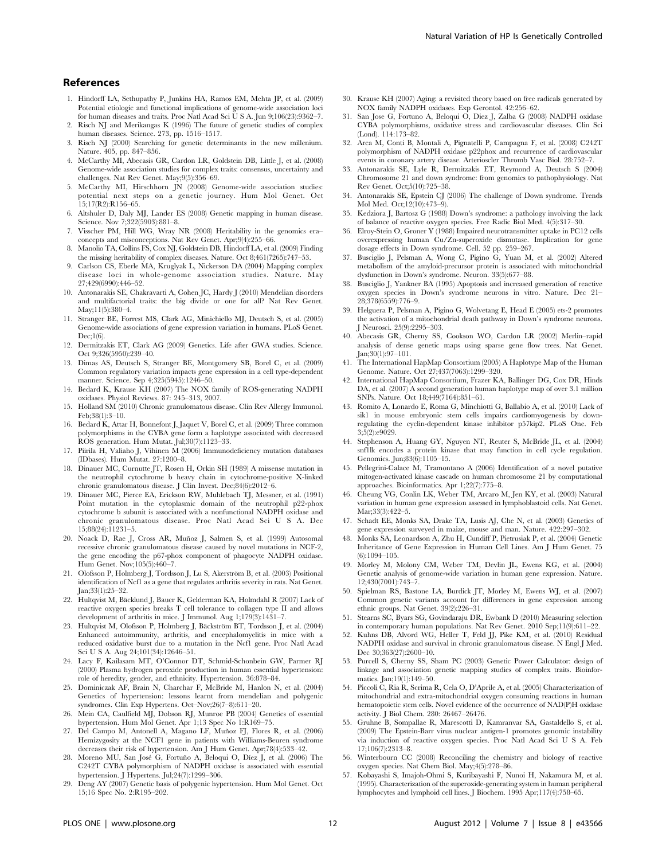## References

- 1. Hindorff LA, Sethupathy P, Junkins HA, Ramos EM, Mehta JP, et al. (2009) Potential etiologic and functional implications of genome-wide association loci for human diseases and traits. Proc Natl Acad Sci U S A. Jun 9;106(23):9362–7.
- 2. Risch NJ and Merikangas K (1996) The future of genetic studies of complex human diseases. Science. 273, pp. 1516–1517.
- 3. Risch NJ (2000) Searching for genetic determinants in the new millenium. Nature. 405, pp. 847–856.
- 4. McCarthy MI, Abecasis GR, Cardon LR, Goldstein DB, Little J, et al. (2008) Genome-wide association studies for complex traits: consensus, uncertainty and challenges. Nat Rev Genet. May;9(5):356–69.
- 5. McCarthy MI, Hirschhorn JN (2008) Genome-wide association studies: potential next steps on a genetic journey. Hum Mol Genet. Oct 15;17(R2):R156–65.
- 6. Altshuler D, Daly MJ, Lander ES (2008) Genetic mapping in human disease. Science. Nov 7;322(5903):881–8.
- 7. Visscher PM, Hill WG, Wray NR (2008) Heritability in the genomics era– concepts and misconceptions. Nat Rev Genet. Apr;9(4):255–66.
- 8. Manolio TA, Collins FS, Cox NJ, Goldstein DB, Hindorff LA, et al. (2009) Finding the missing heritability of complex diseases. Nature. Oct 8;461(7265):747–53.
- 9. Carlson CS, Eberle MA, Kruglyak L, Nickerson DA (2004) Mapping complex disease loci in whole-genome association studies. Nature. May 27;429(6990):446–52.
- 10. Antonarakis SE, Chakravarti A, Cohen JC, Hardy J (2010) Mendelian disorders and multifactorial traits: the big divide or one for all? Nat Rev Genet. May;11(5):380–4.
- 11. Stranger BE, Forrest MS, Clark AG, Minichiello MJ, Deutsch S, et al. (2005) Genome-wide associations of gene expression variation in humans. PLoS Genet.  $Dec:1(6)$ .
- 12. Dermitzakis ET, Clark AG (2009) Genetics. Life after GWA studies. Science. Oct 9;326(5950):239–40.
- 13. Dimas AS, Deutsch S, Stranger BE, Montgomery SB, Borel C, et al. (2009) Common regulatory variation impacts gene expression in a cell type-dependent manner. Science. Sep 4;325(5945):1246–50.
- 14. Bedard K, Krause KH (2007) The NOX family of ROS-generating NADPH oxidases. Physiol Reviews. 87: 245–313, 2007.
- 15. Holland SM (2010) Chronic granulomatous disease. Clin Rev Allergy Immunol. Feb;38(1):3–10.
- 16. Bedard K, Attar H, Bonnefont J, Jaquet V, Borel C, et al. (2009) Three common polymorphisms in the CYBA gene form a haplotype associated with decreased ROS generation. Hum Mutat. Jul;30(7):1123–33.
- 17. Piirila H, Valiaho J, Vihinen M (2006) Immunodeficiency mutation databases (IDbases). Hum Mutat. 27:1200–8.
- 18. Dinauer MC, Curnutte JT, Rosen H, Orkin SH (1989) A missense mutation in the neutrophil cytochrome b heavy chain in cytochrome-positive X-linked chronic granulomatous disease. J Clin Invest. Dec;84(6):2012–6.
- 19. Dinauer MC, Pierce EA, Erickson RW, Muhlebach TJ, Messner, et al. (1991) Point mutation in the cytoplasmic domain of the neutrophil p22-phox cytochrome b subunit is associated with a nonfunctional NADPH oxidase and chronic granulomatous disease. Proc Natl Acad Sci U S A. Dec 15;88(24):11231–5.
- 20. Noack D, Rae J, Cross AR, Muñoz J, Salmen S, et al. (1999) Autosomal recessive chronic granulomatous disease caused by novel mutations in NCF-2, the gene encoding the p67-phox component of phagocyte NADPH oxidase. Hum Genet. Nov;105(5):460–7.
- 21. Olofsson P, Holmberg J, Tordsson J, Lu S, Akerström B, et al. (2003) Positional identification of Ncf1 as a gene that regulates arthritis severity in rats. Nat Genet. Jan;33(1):25–32.
- 22. Hultqvist M, Bäcklund J, Bauer K, Gelderman KA, Holmdahl R (2007) Lack of reactive oxygen species breaks T cell tolerance to collagen type II and allows development of arthritis in mice. J Immunol. Aug 1;179(3):1431–7.
- 23. Hultqvist M, Olofsson P, Holmberg J, Bäckström BT, Tordsson J, et al.  $(2004)$ Enhanced autoimmunity, arthritis, and encephalomyelitis in mice with a reduced oxidative burst due to a mutation in the Ncf1 gene. Proc Natl Acad Sci U S A. Aug 24;101(34):12646–51.
- 24. Lacy F, Kailasam MT, O'Connor DT, Schmid-Schonbein GW, Parmer RJ (2000) Plasma hydrogen peroxide production in human essential hypertension: role of heredity, gender, and ethnicity. Hypertension. 36:878–84.
- 25. Dominiczak AF, Brain N, Charchar F, McBride M, Hanlon N, et al. (2004) Genetics of hypertension: lessons learnt from mendelian and polygenic syndromes. Clin Exp Hypertens. Oct–Nov;26(7–8):611–20.
- 26. Mein CA, Caulfield MJ, Dobson RJ, Munroe PB (2004) Genetics of essential hypertension. Hum Mol Genet. Apr 1;13 Spec No 1:R169–75.
- 27. Del Campo M, Antonell A, Magano LF, Muñoz FJ, Flores R, et al. (2006) Hemizygosity at the NCF1 gene in patients with Williams-Beuren syndrome decreases their risk of hypertension. Am J Hum Genet. Apr;78(4):533–42.
- 28. Moreno MU, San José G, Fortuño A, Beloqui O, Díez J, et al. (2006) The C242T CYBA polymorphism of NADPH oxidase is associated with essential hypertension. J Hypertens. Jul;24(7):1299–306.
- 29. Deng AY (2007) Genetic basis of polygenic hypertension. Hum Mol Genet. Oct 15;16 Spec No. 2:R195–202.
- 30. Krause KH (2007) Aging: a revisited theory based on free radicals generated by NOX family NADPH oxidases. Exp Gerontol. 42:256–62.
- 31. San Jose G, Fortuno A, Beloqui O, Diez J, Zalba G (2008) NADPH oxidase CYBA polymorphisms, oxidative stress and cardiovascular diseases. Clin Sci (Lond). 114:173–82.
- 32. Arca M, Conti B, Montali A, Pignatelli P, Campagna F, et al. (2008) C242T polymorphism of NADPH oxidase p22phox and recurrence of cardiovascular events in coronary artery disease. Arterioscler Thromb Vasc Biol. 28:752–7.
- 33. Antonarakis SE, Lyle R, Dermitzakis ET, Reymond A, Deutsch S (2004) Chromosome 21 and down syndrome: from genomics to pathophysiology. Nat Rev Genet. Oct;5(10):725–38.
- 34. Antonarakis SE, Epstein CJ (2006) The challenge of Down syndrome. Trends Mol Med. Oct;12(10):473–9).
- 35. Kedziora J, Bartosz G (1988) Down's syndrome: a pathology involving the lack of balance of reactive oxygen species. Free Radic Biol Med. 4(5):317–30.
- 36. Elroy-Stein O, Groner Y (1988) Impaired neurotransmitter uptake in PC12 cells overexpressing human Cu/Zn-superoxide dismutase. Implication for gene dosage effects in Down syndrome. Cell. 52 pp. 259–267.
- 37. Busciglio J, Pelsman A, Wong C, Pigino G, Yuan M, et al. (2002) Altered metabolism of the amyloid-precursor protein is associated with mitochondrial dysfunction in Down's syndrome. Neuron. 33(5):677–88.
- 38. Busciglio J, Yankner BA (1995) Apoptosis and increased generation of reactive oxygen species in Down's syndrome neurons in vitro. Nature. Dec 21– 28;378(6559):776–9.
- 39. Helguera P, Pelsman A, Pigino G, Wolvetang E, Head E (2005) ets-2 promotes the activation of a mitochondrial death pathway in Down's syndrome neurons. J Neurosci. 25(9):2295–303.
- 40. Abecasis GR, Cherny SS, Cookson WO, Cardon LR (2002) Merlin–rapid analysis of dense genetic maps using sparse gene flow trees. Nat Genet. Jan;30(1):97–101.
- 41. The International HapMap Consortium (2005) A Haplotype Map of the Human Genome. Nature. Oct 27;437(7063):1299–320.
- 42. International HapMap Consortium, Frazer KA, Ballinger DG, Cox DR, Hinds DA, et al. (2007) A second generation human haplotype map of over 3.1 million SNPs. Nature. Oct 18;449(7164):851–61.
- 43. Romito A, Lonardo E, Roma G, Minchiotti G, Ballabio A, et al. (2010) Lack of sik1 in mouse embryonic stem cells impairs cardiomyogenesis by downregulating the cyclin-dependent kinase inhibitor p57kip2. PLoS One. Feb 3;5(2):e9029.
- 44. Stephenson A, Huang GY, Nguyen NT, Reuter S, McBride JL, et al. (2004) snf1lk encodes a protein kinase that may function in cell cycle regulation. Genomics. Jun;83(6):1105–15.
- 45. Pellegrini-Calace M, Tramontano A (2006) Identification of a novel putative mitogen-activated kinase cascade on human chromosome 21 by computational approaches. Bioinformatics. Apr 1;22(7):775–8.
- 46. Cheung VG, Conlin LK, Weber TM, Arcaro M, Jen KY, et al. (2003) Natural variation in human gene expression assessed in lymphoblastoid cells. Nat Genet. Mar;33(3):422–5.
- 47. Schadt EE, Monks SA, Drake TA, Lusis AJ, Che N, et al. (2003) Genetics of gene expression surveyed in maize, mouse and man. Nature. 422:297–302.
- 48. Monks SA, Leonardson A, Zhu H, Cundiff P, Pietrusiak P, et al. (2004) Genetic Inheritance of Gene Expression in Human Cell Lines. Am J Hum Genet. 75 (6):1094–105.
- 49. Morley M, Molony CM, Weber TM, Devlin JL, Ewens KG, et al. (2004) Genetic analysis of genome-wide variation in human gene expression. Nature. 12;430(7001):743–7.
- 50. Spielman RS, Bastone LA, Burdick JT, Morley M, Ewens WJ, et al. (2007) Common genetic variants account for differences in gene expression among ethnic groups. Nat Genet. 39(2):226–31.
- 51. Stearns SC, Byars SG, Govindaraju DR, Ewbank D (2010) Measuring selection in contemporary human populations. Nat Rev Genet. 2010 Sep;11(9):611–22.
- 52. Kuhns DB, Alvord WG, Heller T, Feld JJ, Pike KM, et al. (2010) Residual NADPH oxidase and survival in chronic granulomatous disease. N Engl J Med. Dec 30;363(27):2600–10.
- 53. Purcell S, Cherny SS, Sham PC (2003) Genetic Power Calculator: design of linkage and association genetic mapping studies of complex traits. Bioinformatics. Jan;19(1):149–50.
- 54. Piccoli C, Ria R, Scrima R, Cela O, D'Aprile A, et al. (2005) Characterization of mitochondrial and extra-mitochondrial oxygen consuming reactions in human hematopoietic stem cells. Novel evidence of the occurrence of NAD(P)H oxidase activity. J Biol Chem. 280: 26467–26476.
- 55. Gruhne B, Sompallae R, Marescotti D, Kamranvar SA, Gastaldello S, et al. (2009) The Epstein-Barr virus nuclear antigen-1 promotes genomic instability via induction of reactive oxygen species. Proc Natl Acad Sci U S A. Feb 17;106(7):2313–8.
- 56. Winterbourn CC (2008) Reconciling the chemistry and biology of reactive oxygen species. Nat Chem Biol. May;4(5):278–86.
- 57. Kobayashi S, Imajoh-Ohmi S, Kuribayashi F, Nunoi H, Nakamura M, et al. (1995). Characterization of the superoxide-generating system in human peripheral lymphocytes and lymphoid cell lines. J Biochem. 1995 Apr;117(4):758–65.